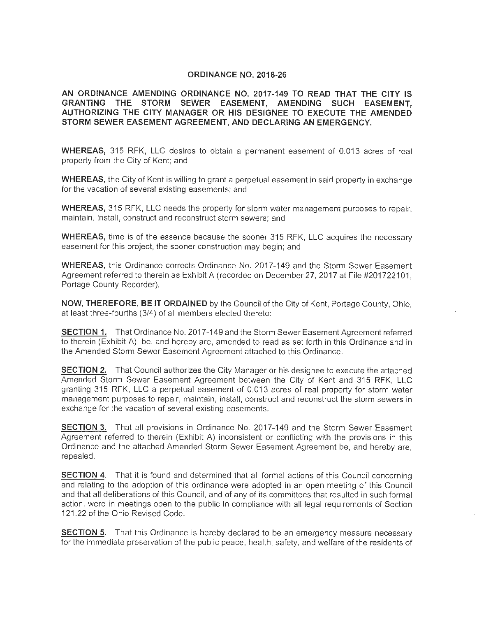#### **ORDINANCE NO. 2018-26**

**AN ORDINANCE AMENDING ORDINANCE NO. 2017-149 TO READ THAT THE CITY IS GRANTING THE STORM SEWER EASEMENT, AMENDING SUCH EASEMENT, AUTHORIZING THE CITY MANAGER OR HIS DESIGNEE TO EXECUTE THE AMENDED STORM SEWER EASEMENT AGREEMENT, AND DECLARING AN EMERGENCY.** 

**WHEREAS,** 315 RFK, LLC desires to obtain a permanent easement of 0.013 acres of real property from the City of Kent; and

**WHEREAS,** the City of Kent is willing to grant a perpetual easement in said property in exchange for the vacation of several existing easements; and

**WHEREAS,** 315 RFK, LLC needs the property for storm water management purposes to repair, maintain, install, construct and reconstruct storm sewers; and

**WHEREAS,** time is of the essence because the sooner 315 RFK, LLC acquires the necessary easement for this project, the sooner construction may begin; and

**WHEREAS,** this Ordinance corrects Ordinance No. 2017-149 and the Storm Sewer Easement Agreement referred to therein as Exhibit A (recorded on December 27, 2017 at File #201722101, Portage County Recorder).

**NOW, THEREFORE, BE IT ORDAINED** by the Council of the City of Kent, Portage County, Ohio, at least three-fourths (3/4) of all members elected thereto:

**SECTION 1.** That Ordinance No. 2017-149 and the Storm Sewer Easement Agreement referred to therein (Exhibit A), be, and hereby are, amended to read as set forth in this Ordinance and in the Amended Storm Sewer Easement Agreement attached to this Ordinance.

**SECTION 2.** That Council authorizes the City Manager or his designee to execute the attached Amended Storm Sewer Easement Agreement between the City of Kent and 315 RFK, LLC granting 315 RFK, LLC a perpetual easement of 0.013 acres of real property for storm water management purposes to repair, maintain, install, construct and reconstruct the storm sewers in exchange for the vacation of several existing easements.

**SECTION 3.** That all provisions in Ordinance No. 2017-149 and the Storm Sewer Easement Agreement referred to therein (Exhibit A) inconsistent or conflicting with the provisions in this Ordinance and the attached Amended Storm Sewer Easement Agreement be, and hereby are, repealed.

**SECTION 4.** That it is found and determined that all formal actions of this Council concerning and relating to the adoption of this ordinance were adopted in an open meeting of this Council and that all deliberations of this Council, and of any of its committees that resulted in such formal action, were in meetings open to the public in compliance with all legal requirements of Section 121.22 of the Ohio Revised Code.

**SECTION 5.** That this Ordinance is hereby declared to be an emergency measure necessary for the immediate preservation of the public peace, health, safety, and welfare of the residents of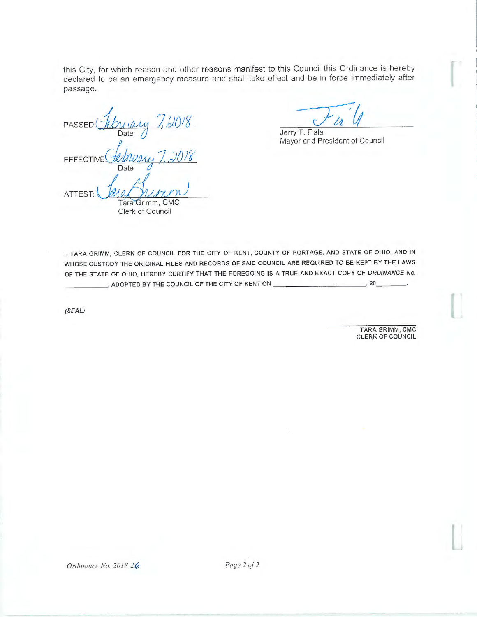this City, for which reason and other reasons manifest to this Council this Ordinance is hereby declared to be an emergency measure and shall take effect and be in force immediately after passage.

PASSED: February 7, 2018 Date EFFECTIVE <u>Senson</u><br>Date Jack 2018 Date **ATTEST, l ~**  Tara Grimm, CMC Clerk of Council

Jerry T. Fiala Mayor and President of Council

I, TARA GRIMM, CLERK OF COUNCIL FOR THE CITY OF KENT, COUNTY OF PORTAGE, AND STATE OF OHIO, AND IN WHOSE CUSTODY THE ORIGINAL FILES AND RECORDS OF SAID COUNCIL ARE REQUIRED TO BE KEPT BY THE LAWS OF THE STATE OF OHIO, HEREBY CERTIFY THAT THE FOREGOING IS A TRUE AND EXACT COPY OF ORDINANCE No. \_ \_\_\_\_ , ADOPTED BY THE COUNCIL OF THE CITY OF KENT ON \_\_\_\_\_\_\_\_\_\_ , 20 \_ \_ \_

(SEAL)

TARA GRIMM, CMC CLERK OF COUNCIL I

 $\Box$ 

I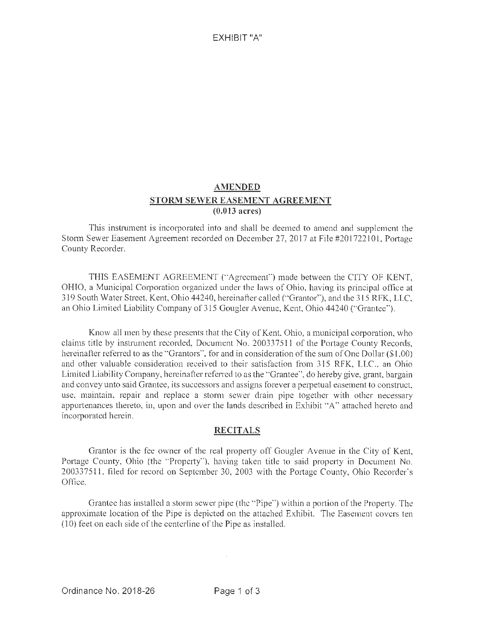## EXHIBIT "A"

# **AMENDED STORM SEWER EASEMENT AGREEMENT (0.013 acres)**

This instrument is incorporated into and shall be deemed to amend and supplement the Storm Sewer Easement Agreement recorded on December 27, 2017 at File #201722101, Portage County Recorder.

THIS EASEMENT AGREEMENT (" 'Agreement") made between the CITY OF KENT, OHIO, a Municipal Corporation organized under the laws of Ohio, having its principal office at 319 South Water Street, Kent, Ohio 44240, hereinafter called ("Grantor"), and the 315 RFK, LLC, an Ohio Limited Liability Company of 315 Gougler A venue, Kent, Ohio 44240 ("Grantee'').

Know all men by these presents that the City of Kent, Ohio, a municipal corporation, who claims title by instrument recorded, Document No. 20033751 l of the Portage County Records, hereinafter referred to as the "Grantors", for and in consideration of the sum of One Dollar (\$1.00) and other valuable consideration received to their satisfaction from 3 15 RFK, LLC., an Ohio Limited Liability Company, hereinafter referred to as the "Grantee", do hereby give, grant, bargain and convey unto said Grantee, its successors and assigns forever a perpetual easement to construct, use, maintain, repair and replace a storm sewer drain pipe together with other necessary appurtenances thereto, in, upon and over the lands described in Exhibit "A" attached hereto and incorporated herein.

#### **RECITALS**

Grantor is the fee owner of the real property off Gougler Avenue in the City of Kent, Portage County, Ohio (the "Property"), having taken title to said property in Document No. 2003375 11 , filed for record on September 30, 2003 with the Pottage County, Ohio Recorder's Office.

Grantee has installed a storm sewer pipe (the "Pipe") within a portion of the Property. The approximate location of the Pipe is depicted on the attached Exhibit. The Easement covers ten (10) feet on each side of the centerline of the Pipe as installed.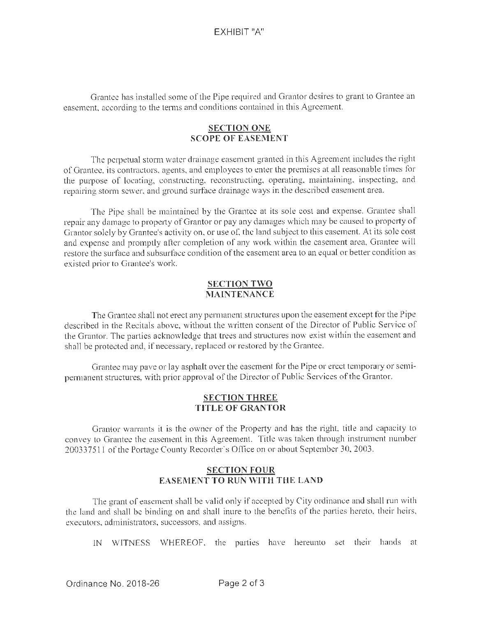Grantee has installed some of the Pipe required and Grantor desires to grant to Grantee an easement, according to the tenns and conditions contained in this Agreement.

### **SECTION ONE SCOPE OF EASEMENT**

The perpetual storm water drainage easement granted in this Agreement includes the right of Grantee, its contractors, agents, and employees to enter the premises at all reasonable times for the purpose of locating, constructing, reconstructing, operating, maintaining, inspecting, and repairing storm sewer, and ground surface drainage ways in the described easement area.

The Pipe shall be maintained by the Grantee at its sole cost and expense. Grantee shall repair any damage to property of Grantor or pay any damages which may be caused to property of Grantor solely by Grantee's activity on, or use of, the land subject to this casement. At its sole cost and expense and promptly after completion of any work within the easement area, Grantee will restore the surface and subsurface condition of the easement area to an equal or better condition as existed prior to Grantee's work.

### **SECTION TWO MAINTENANCE**

The Grantee shall not erect any permanent structures upon the easement except for the Pipe described in the Recitals above, without the written consent of the Director of Public Service of the Grantor. The parties acknowledge that trees and structures now exist within the easement and shall be protected and, if necessary, replaced or restored by the Grantee.

Grantee may pave or lay asphalt over the easement for the Pipe or erect temporary or semipermanent structures, with prior approval of the Director of Public Services of the Grantor.

#### **SECTION THREE TITLE OF GRANTOR**

Grantor warrants it is the owner of the Property and has the right, title and capacity to convey to Grantee the easement in this Agreement. Title was taken through instrument number 200337511 of the Portage County Recorder's Office on or about September 30, 2003.

## **SECTION FOUR EASEMENT TO RUN \VITH THE LAND**

The grant of easement shall be valid only if accepted by City ordinance and shall run with the land and shall be binding on and shall inure to the benefits of the parties hereto, their heirs, executors, administrators, successors, and assigns.

IN WITNESS WHEREOF, the parties have hereunto set their hands at